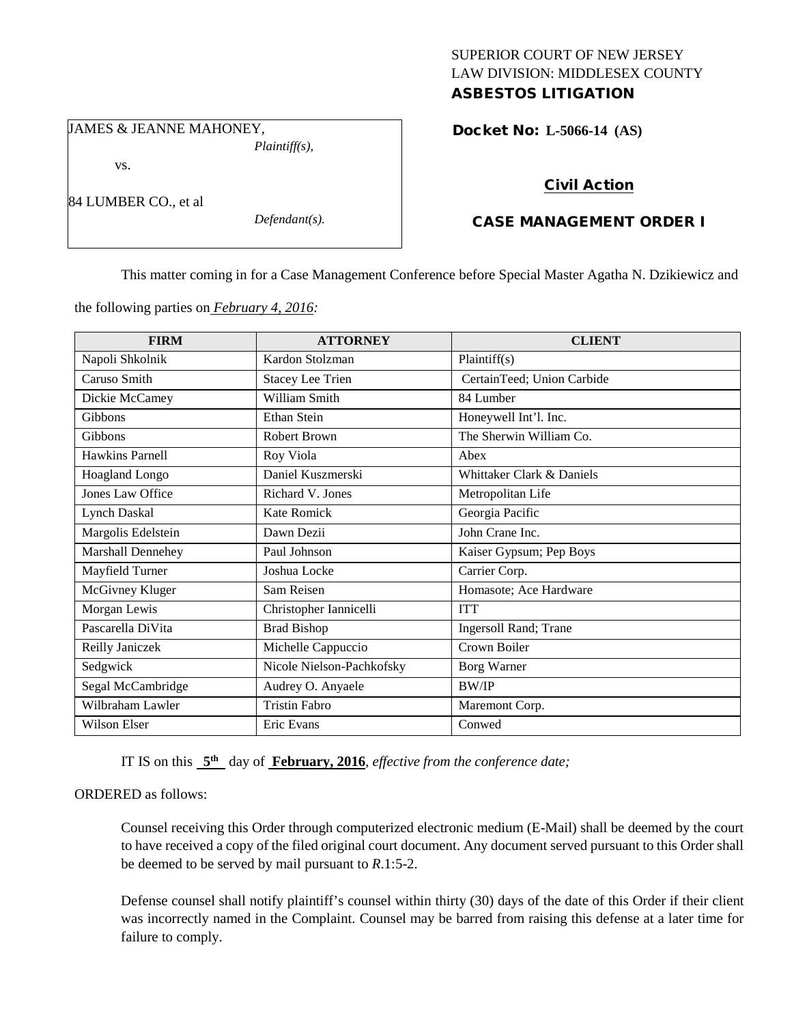## SUPERIOR COURT OF NEW JERSEY LAW DIVISION: MIDDLESEX COUNTY ASBESTOS LITIGATION

JAMES & JEANNE MAHONEY,

vs.

84 LUMBER CO., et al

*Defendant(s).*

*Plaintiff(s),*

Docket No: **L-5066-14 (AS)** 

# Civil Action

# CASE MANAGEMENT ORDER I

This matter coming in for a Case Management Conference before Special Master Agatha N. Dzikiewicz and

the following parties on *February 4, 2016:*

| <b>FIRM</b>         | <b>ATTORNEY</b>           | <b>CLIENT</b>              |
|---------------------|---------------------------|----------------------------|
| Napoli Shkolnik     | Kardon Stolzman           | Plaintiff(s)               |
| Caruso Smith        | <b>Stacey Lee Trien</b>   | CertainTeed; Union Carbide |
| Dickie McCamey      | William Smith             | 84 Lumber                  |
| Gibbons             | Ethan Stein               | Honeywell Int'l. Inc.      |
| Gibbons             | Robert Brown              | The Sherwin William Co.    |
| Hawkins Parnell     | Roy Viola                 | Abex                       |
| Hoagland Longo      | Daniel Kuszmerski         | Whittaker Clark & Daniels  |
| Jones Law Office    | Richard V. Jones          | Metropolitan Life          |
| <b>Lynch Daskal</b> | <b>Kate Romick</b>        | Georgia Pacific            |
| Margolis Edelstein  | Dawn Dezii                | John Crane Inc.            |
| Marshall Dennehey   | Paul Johnson              | Kaiser Gypsum; Pep Boys    |
| Mayfield Turner     | Joshua Locke              | Carrier Corp.              |
| McGivney Kluger     | Sam Reisen                | Homasote; Ace Hardware     |
| Morgan Lewis        | Christopher Iannicelli    | <b>ITT</b>                 |
| Pascarella DiVita   | <b>Brad Bishop</b>        | Ingersoll Rand; Trane      |
| Reilly Janiczek     | Michelle Cappuccio        | Crown Boiler               |
| Sedgwick            | Nicole Nielson-Pachkofsky | Borg Warner                |
| Segal McCambridge   | Audrey O. Anyaele         | <b>BW/IP</b>               |
| Wilbraham Lawler    | <b>Tristin Fabro</b>      | Maremont Corp.             |
| Wilson Elser        | Eric Evans                | Conwed                     |

IT IS on this **5th** day of **February, 2016**, *effective from the conference date;*

ORDERED as follows:

Counsel receiving this Order through computerized electronic medium (E-Mail) shall be deemed by the court to have received a copy of the filed original court document. Any document served pursuant to this Order shall be deemed to be served by mail pursuant to *R*.1:5-2.

Defense counsel shall notify plaintiff's counsel within thirty (30) days of the date of this Order if their client was incorrectly named in the Complaint. Counsel may be barred from raising this defense at a later time for failure to comply.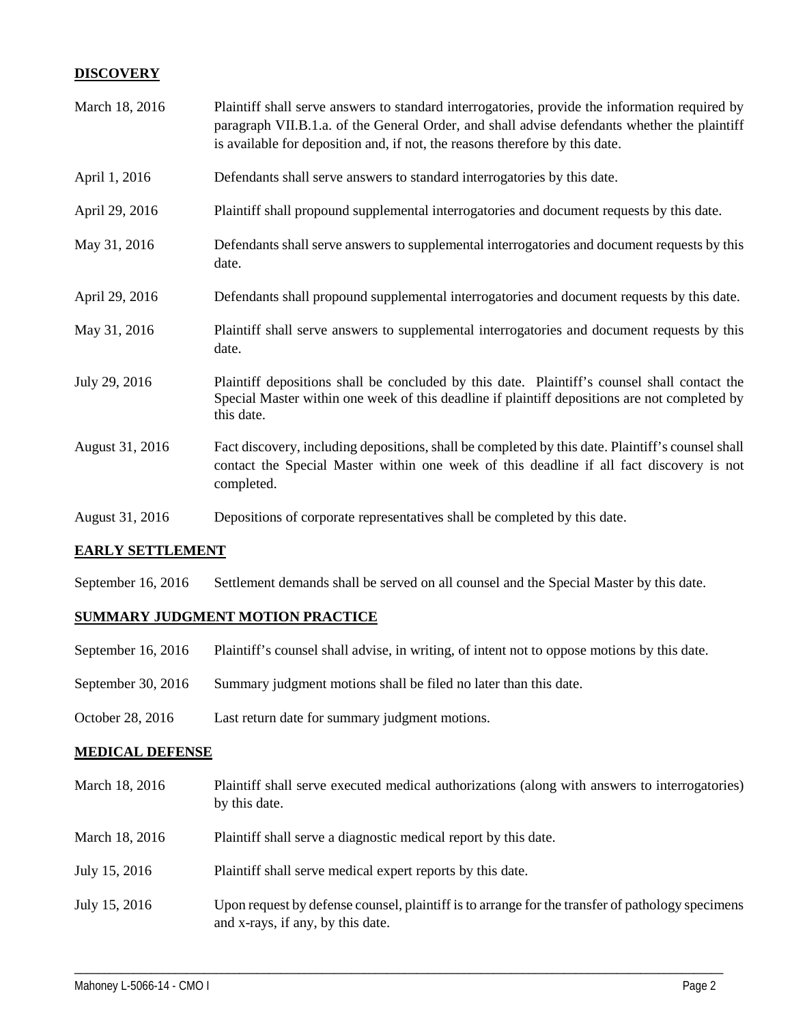## **DISCOVERY**

| March 18, 2016  | Plaintiff shall serve answers to standard interrogatories, provide the information required by<br>paragraph VII.B.1.a. of the General Order, and shall advise defendants whether the plaintiff<br>is available for deposition and, if not, the reasons therefore by this date. |
|-----------------|--------------------------------------------------------------------------------------------------------------------------------------------------------------------------------------------------------------------------------------------------------------------------------|
| April 1, 2016   | Defendants shall serve answers to standard interrogatories by this date.                                                                                                                                                                                                       |
| April 29, 2016  | Plaintiff shall propound supplemental interrogatories and document requests by this date.                                                                                                                                                                                      |
| May 31, 2016    | Defendants shall serve answers to supplemental interrogatories and document requests by this<br>date.                                                                                                                                                                          |
| April 29, 2016  | Defendants shall propound supplemental interrogatories and document requests by this date.                                                                                                                                                                                     |
| May 31, 2016    | Plaintiff shall serve answers to supplemental interrogatories and document requests by this<br>date.                                                                                                                                                                           |
| July 29, 2016   | Plaintiff depositions shall be concluded by this date. Plaintiff's counsel shall contact the<br>Special Master within one week of this deadline if plaintiff depositions are not completed by<br>this date.                                                                    |
| August 31, 2016 | Fact discovery, including depositions, shall be completed by this date. Plaintiff's counsel shall<br>contact the Special Master within one week of this deadline if all fact discovery is not<br>completed.                                                                    |
| August 31, 2016 | Depositions of corporate representatives shall be completed by this date.                                                                                                                                                                                                      |

#### **EARLY SETTLEMENT**

September 16, 2016 Settlement demands shall be served on all counsel and the Special Master by this date.

#### **SUMMARY JUDGMENT MOTION PRACTICE**

- September 16, 2016 Plaintiff's counsel shall advise, in writing, of intent not to oppose motions by this date.
- September 30, 2016 Summary judgment motions shall be filed no later than this date.
- October 28, 2016 Last return date for summary judgment motions.

#### **MEDICAL DEFENSE**

| March 18, 2016 | Plaintiff shall serve executed medical authorizations (along with answers to interrogatories)<br>by this date.                        |
|----------------|---------------------------------------------------------------------------------------------------------------------------------------|
| March 18, 2016 | Plaintiff shall serve a diagnostic medical report by this date.                                                                       |
| July 15, 2016  | Plaintiff shall serve medical expert reports by this date.                                                                            |
| July 15, 2016  | Upon request by defense counsel, plaintiff is to arrange for the transfer of pathology specimens<br>and x-rays, if any, by this date. |

\_\_\_\_\_\_\_\_\_\_\_\_\_\_\_\_\_\_\_\_\_\_\_\_\_\_\_\_\_\_\_\_\_\_\_\_\_\_\_\_\_\_\_\_\_\_\_\_\_\_\_\_\_\_\_\_\_\_\_\_\_\_\_\_\_\_\_\_\_\_\_\_\_\_\_\_\_\_\_\_\_\_\_\_\_\_\_\_\_\_\_\_\_\_\_\_\_\_\_\_\_\_\_\_\_\_\_\_\_\_